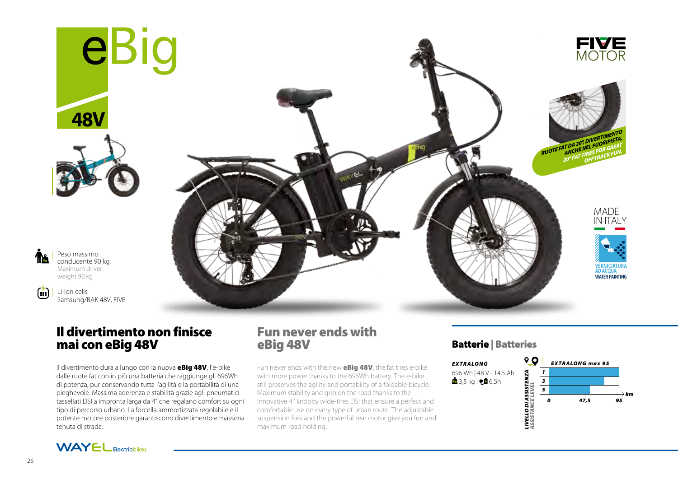







 $\left( \frac{1}{2} \right)$ 

Peso massimo conducente 90 kg Maximum driver weight 90 kg

Li-Ion cells Samsung/BAK 48V, FIVE



# Il divertimento non finisce mai con eBig 48V

Il divertimento dura a lungo con la nuova **eBig 48V**, l'e-bike dalle ruote fat con in più una batteria che raggiunge gli 696Wh di potenza, pur conservando tutta l'agilità e la portabilità di una pieghevole. Massima aderenza e stabilità grazie agli pneumatici tassellati DSI a impronta larga da 4" che regalano comfort su ogni tipo di percorso urbano. La forcella ammortizzata regolabile e il potente motore posteriore garantiscono divertimento e massima tenuta di strada.

## Fun never ends with eBig 48V

Fun never ends with the new **eBig 48V**, the fat tires e-bike with more power thanks to the 696Wh battery. The e-bike still preserves the agility and portability of a foldable bicycle. Maximum stability and grip on the road thanks to the innovative 4'' knobby wide-tires DSI that ensure a perfect and comfortable use on every type of urban route. The adjustable suspension fork and the powerful rear motor give you fun and maximum road holding.

## Batterie | Batteries